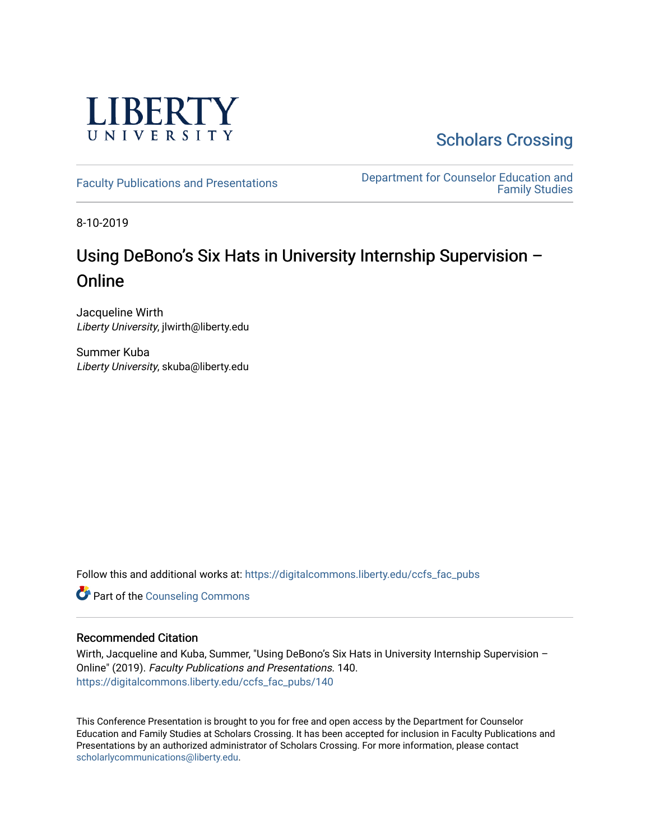

[Scholars Crossing](https://digitalcommons.liberty.edu/) 

[Faculty Publications and Presentations](https://digitalcommons.liberty.edu/ccfs_fac_pubs) **Department for Counselor Education and** [Family Studies](https://digitalcommons.liberty.edu/ccfs) 

8-10-2019

## Using DeBono's Six Hats in University Internship Supervision – **Online**

Jacqueline Wirth Liberty University, jlwirth@liberty.edu

Summer Kuba Liberty University, skuba@liberty.edu

Follow this and additional works at: [https://digitalcommons.liberty.edu/ccfs\\_fac\\_pubs](https://digitalcommons.liberty.edu/ccfs_fac_pubs?utm_source=digitalcommons.liberty.edu%2Fccfs_fac_pubs%2F140&utm_medium=PDF&utm_campaign=PDFCoverPages)

**Part of the Counseling Commons** 

#### Recommended Citation

Wirth, Jacqueline and Kuba, Summer, "Using DeBono's Six Hats in University Internship Supervision -Online" (2019). Faculty Publications and Presentations. 140. [https://digitalcommons.liberty.edu/ccfs\\_fac\\_pubs/140](https://digitalcommons.liberty.edu/ccfs_fac_pubs/140?utm_source=digitalcommons.liberty.edu%2Fccfs_fac_pubs%2F140&utm_medium=PDF&utm_campaign=PDFCoverPages)

This Conference Presentation is brought to you for free and open access by the Department for Counselor Education and Family Studies at Scholars Crossing. It has been accepted for inclusion in Faculty Publications and Presentations by an authorized administrator of Scholars Crossing. For more information, please contact [scholarlycommunications@liberty.edu.](mailto:scholarlycommunications@liberty.edu)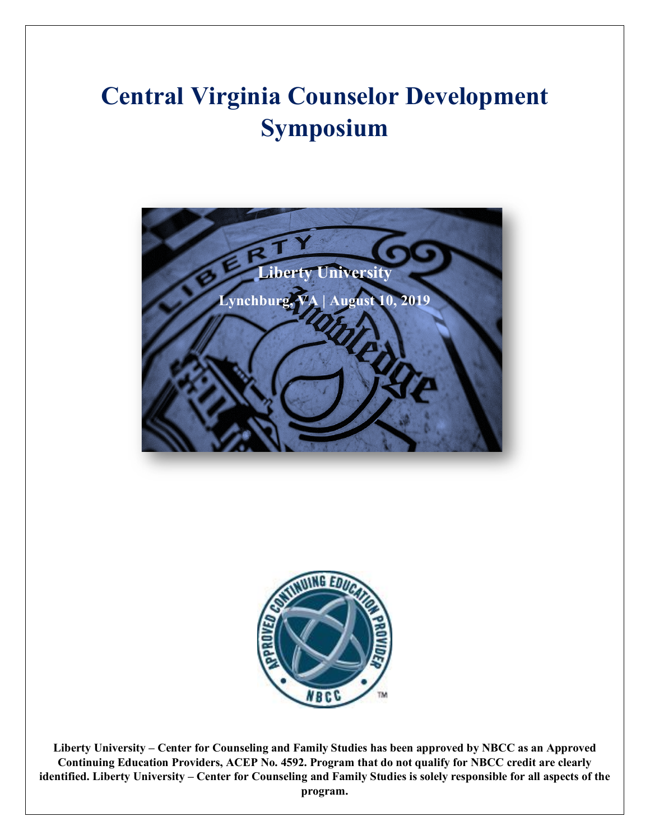# **Central Virginia Counselor Development Symposium**





**Liberty University – Center for Counseling and Family Studies has been approved by NBCC as an Approved Continuing Education Providers, ACEP No. 4592. Program that do not qualify for NBCC credit are clearly identified. Liberty University – Center for Counseling and Family Studies is solely responsible for all aspects of the program.**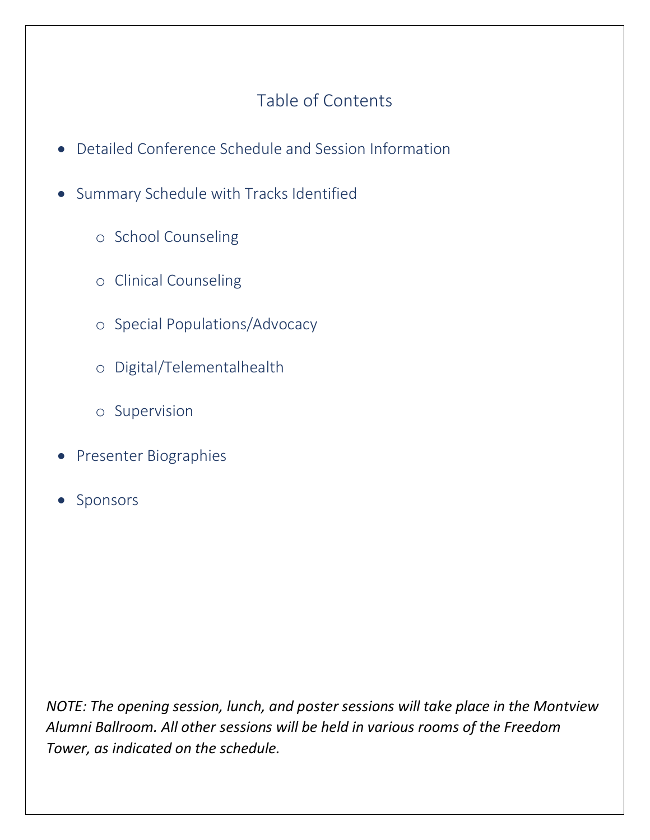## Table of Contents

- Detailed Conference Schedule and Session Information
- Summary Schedule with Tracks Identified
	- o School Counseling
	- o Clinical Counseling
	- o Special Populations/Advocacy
	- o Digital/Telementalhealth
	- o Supervision
- Presenter Biographies
- Sponsors

*NOTE: The opening session, lunch, and poster sessions will take place in the Montview Alumni Ballroom. All other sessions will be held in various rooms of the Freedom Tower, as indicated on the schedule.*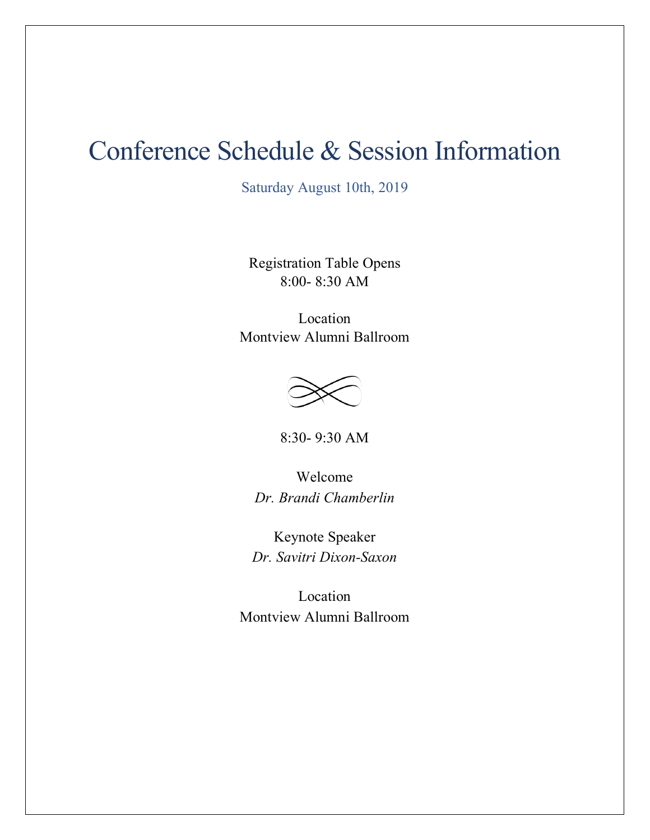# Conference Schedule & Session Information

Saturday August 10th, 2019

Registration Table Opens 8:00- 8:30 AM

Location Montview Alumni Ballroom



8:30- 9:30 AM

Welcome *Dr. Brandi Chamberlin*

Keynote Speaker *Dr. Savitri Dixon-Saxon*

Location Montview Alumni Ballroom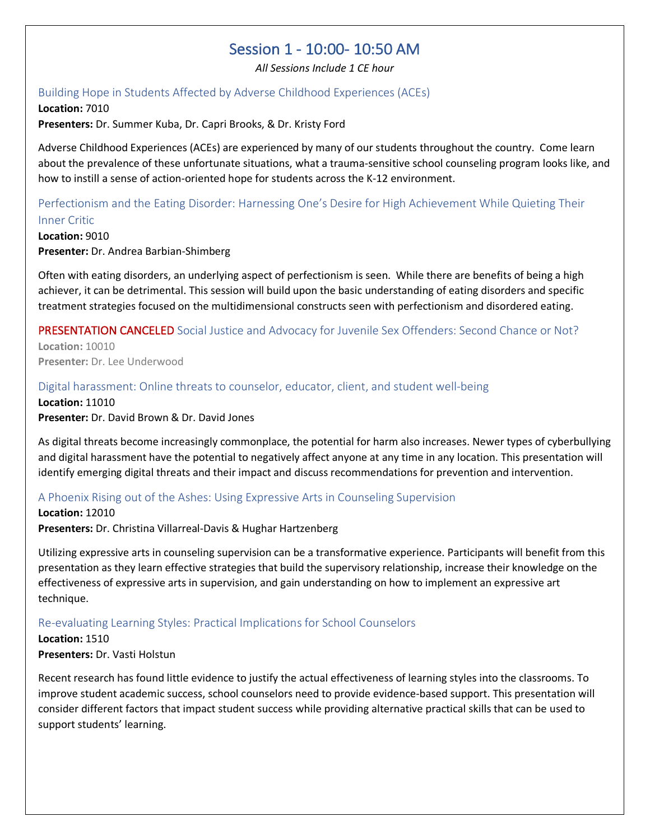## Session 1 - 10:00- 10:50 AM

*All Sessions Include 1 CE hour*

#### Building Hope in Students Affected by Adverse Childhood Experiences (ACEs)

**Location:** 7010 **Presenters:** Dr. Summer Kuba, Dr. Capri Brooks, & Dr. Kristy Ford

Adverse Childhood Experiences (ACEs) are experienced by many of our students throughout the country. Come learn about the prevalence of these unfortunate situations, what a trauma-sensitive school counseling program looks like, and how to instill a sense of action-oriented hope for students across the K-12 environment.

## Perfectionism and the Eating Disorder: Harnessing One's Desire for High Achievement While Quieting Their

Inner Critic **Location:** 9010 **Presenter:** Dr. Andrea Barbian-Shimberg

Often with eating disorders, an underlying aspect of perfectionism is seen. While there are benefits of being a high achiever, it can be detrimental. This session will build upon the basic understanding of eating disorders and specific treatment strategies focused on the multidimensional constructs seen with perfectionism and disordered eating.

### PRESENTATION CANCELED Social Justice and Advocacy for Juvenile Sex Offenders: Second Chance or Not?

**Location:** 10010 **Presenter:** Dr. Lee Underwood

#### Digital harassment: Online threats to counselor, educator, client, and student well-being

**Location:** 11010 **Presenter:** Dr. David Brown & Dr. David Jones

As digital threats become increasingly commonplace, the potential for harm also increases. Newer types of cyberbullying and digital harassment have the potential to negatively affect anyone at any time in any location. This presentation will identify emerging digital threats and their impact and discuss recommendations for prevention and intervention.

#### A Phoenix Rising out of the Ashes: Using Expressive Arts in Counseling Supervision

**Location:** 12010 **Presenters:** Dr. Christina Villarreal-Davis & Hughar Hartzenberg

Utilizing expressive arts in counseling supervision can be a transformative experience. Participants will benefit from this presentation as they learn effective strategies that build the supervisory relationship, increase their knowledge on the effectiveness of expressive arts in supervision, and gain understanding on how to implement an expressive art technique.

#### Re-evaluating Learning Styles: Practical Implications for School Counselors

#### **Location:** 1510

#### **Presenters:** Dr. Vasti Holstun

Recent research has found little evidence to justify the actual effectiveness of learning styles into the classrooms. To improve student academic success, school counselors need to provide evidence-based support. This presentation will consider different factors that impact student success while providing alternative practical skills that can be used to support students' learning.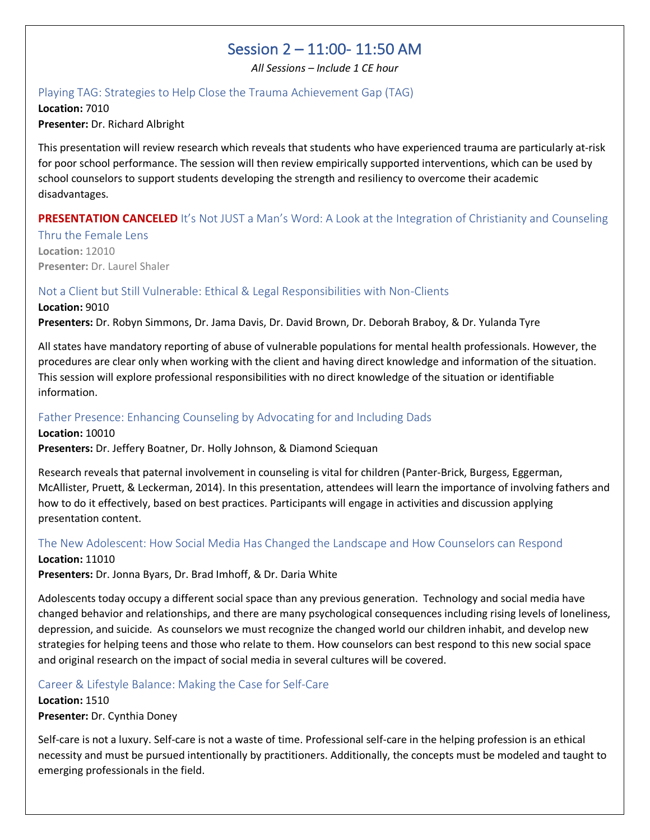## Session 2 – 11:00- 11:50 AM

*All Sessions – Include 1 CE hour*

#### Playing TAG: Strategies to Help Close the Trauma Achievement Gap (TAG)

**Location:** 7010 **Presenter:** Dr. Richard Albright

This presentation will review research which reveals that students who have experienced trauma are particularly at-risk for poor school performance. The session will then review empirically supported interventions, which can be used by school counselors to support students developing the strength and resiliency to overcome their academic disadvantages.

#### **PRESENTATION CANCELED** It's Not JUST a Man's Word: A Look at the Integration of Christianity and Counseling

Thru the Female Lens **Location:** 12010 **Presenter:** Dr. Laurel Shaler

#### Not a Client but Still Vulnerable: Ethical & Legal Responsibilities with Non-Clients

#### **Location:** 9010

**Presenters:** Dr. Robyn Simmons, Dr. Jama Davis, Dr. David Brown, Dr. Deborah Braboy, & Dr. Yulanda Tyre

All states have mandatory reporting of abuse of vulnerable populations for mental health professionals. However, the procedures are clear only when working with the client and having direct knowledge and information of the situation. This session will explore professional responsibilities with no direct knowledge of the situation or identifiable information.

#### Father Presence: Enhancing Counseling by Advocating for and Including Dads

**Location:** 10010

**Presenters:** Dr. Jeffery Boatner, Dr. Holly Johnson, & Diamond Sciequan

Research reveals that paternal involvement in counseling is vital for children (Panter-Brick, Burgess, Eggerman, McAllister, Pruett, & Leckerman, 2014). In this presentation, attendees will learn the importance of involving fathers and how to do it effectively, based on best practices. Participants will engage in activities and discussion applying presentation content.

### The New Adolescent: How Social Media Has Changed the Landscape and How Counselors can Respond

#### **Location:** 11010

**Presenters:** Dr. Jonna Byars, Dr. Brad Imhoff, & Dr. Daria White

Adolescents today occupy a different social space than any previous generation. Technology and social media have changed behavior and relationships, and there are many psychological consequences including rising levels of loneliness, depression, and suicide. As counselors we must recognize the changed world our children inhabit, and develop new strategies for helping teens and those who relate to them. How counselors can best respond to this new social space and original research on the impact of social media in several cultures will be covered.

#### Career & Lifestyle Balance: Making the Case for Self-Care

**Location:** 1510 **Presenter:** Dr. Cynthia Doney

Self-care is not a luxury. Self-care is not a waste of time. Professional self-care in the helping profession is an ethical necessity and must be pursued intentionally by practitioners. Additionally, the concepts must be modeled and taught to emerging professionals in the field.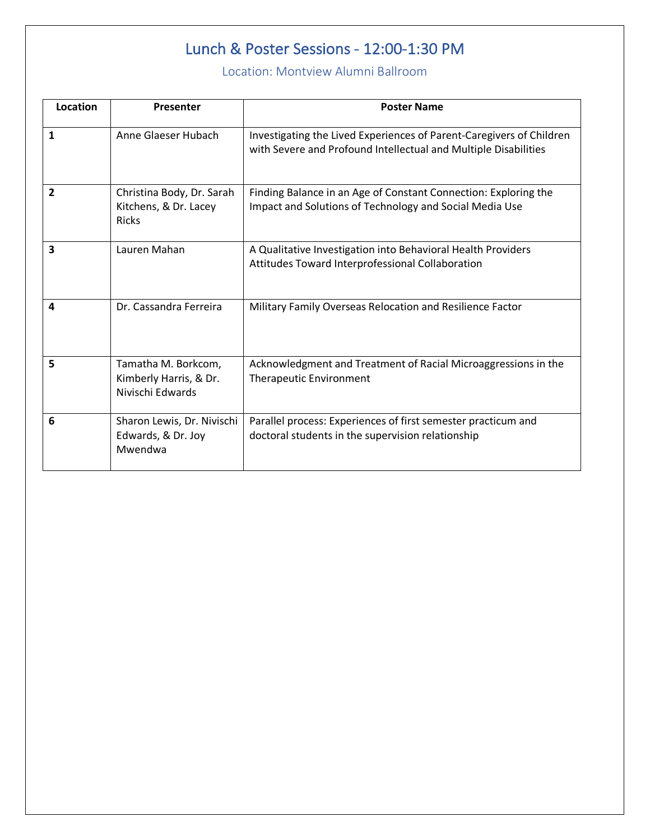## Lunch & Poster Sessions - 12:00-1:30 PM

### Location: Montview Alumni Ballroom

| Location | Presenter                                                          | <b>Poster Name</b>                                                                                                                      |  |  |
|----------|--------------------------------------------------------------------|-----------------------------------------------------------------------------------------------------------------------------------------|--|--|
| 1        | Anne Glaeser Hubach                                                | Investigating the Lived Experiences of Parent-Caregivers of Children<br>with Severe and Profound Intellectual and Multiple Disabilities |  |  |
| 2        | Christina Body, Dr. Sarah<br>Kitchens, & Dr. Lacey<br><b>Ricks</b> | Finding Balance in an Age of Constant Connection: Exploring the<br>Impact and Solutions of Technology and Social Media Use              |  |  |
| 3        | Lauren Mahan                                                       | A Qualitative Investigation into Behavioral Health Providers<br>Attitudes Toward Interprofessional Collaboration                        |  |  |
| 4        | Dr. Cassandra Ferreira                                             | Military Family Overseas Relocation and Resilience Factor                                                                               |  |  |
| 5        | Tamatha M. Borkcom,<br>Kimberly Harris, & Dr.<br>Nivischi Edwards  | Acknowledgment and Treatment of Racial Microaggressions in the<br><b>Therapeutic Environment</b>                                        |  |  |
| 6        | Sharon Lewis, Dr. Nivischi<br>Edwards, & Dr. Joy<br>Mwendwa        | Parallel process: Experiences of first semester practicum and<br>doctoral students in the supervision relationship                      |  |  |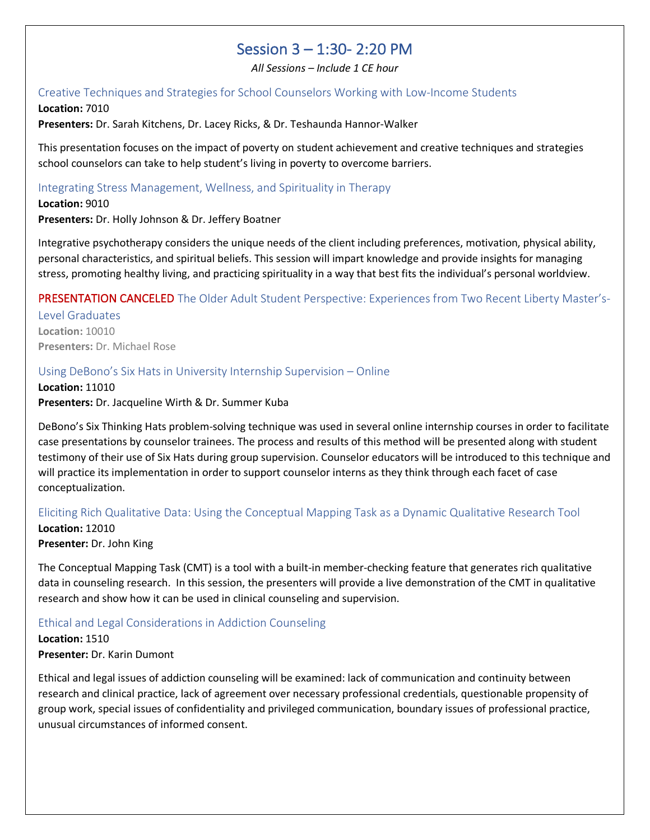## Session 3 – 1:30- 2:20 PM

*All Sessions – Include 1 CE hour*

#### Creative Techniques and Strategies for School Counselors Working with Low-Income Students

**Location:** 7010

**Presenters:** Dr. Sarah Kitchens, Dr. Lacey Ricks, & Dr. Teshaunda Hannor-Walker

This presentation focuses on the impact of poverty on student achievement and creative techniques and strategies school counselors can take to help student's living in poverty to overcome barriers.

#### Integrating Stress Management, Wellness, and Spirituality in Therapy

**Location:** 9010 **Presenters:** Dr. Holly Johnson & Dr. Jeffery Boatner

Integrative psychotherapy considers the unique needs of the client including preferences, motivation, physical ability, personal characteristics, and spiritual beliefs. This session will impart knowledge and provide insights for managing stress, promoting healthy living, and practicing spirituality in a way that best fits the individual's personal worldview.

#### PRESENTATION CANCELED The Older Adult Student Perspective: Experiences from Two Recent Liberty Master's-

Level Graduates **Location:** 10010 **Presenters:** Dr. Michael Rose

#### Using DeBono's Six Hats in University Internship Supervision – Online

**Location:** 11010 **Presenters:** Dr. Jacqueline Wirth & Dr. Summer Kuba

DeBono's Six Thinking Hats problem-solving technique was used in several online internship courses in order to facilitate case presentations by counselor trainees. The process and results of this method will be presented along with student testimony of their use of Six Hats during group supervision. Counselor educators will be introduced to this technique and will practice its implementation in order to support counselor interns as they think through each facet of case conceptualization.

#### Eliciting Rich Qualitative Data: Using the Conceptual Mapping Task as a Dynamic Qualitative Research Tool

**Location:** 12010 **Presenter:** Dr. John King

The Conceptual Mapping Task (CMT) is a tool with a built-in member-checking feature that generates rich qualitative data in counseling research. In this session, the presenters will provide a live demonstration of the CMT in qualitative research and show how it can be used in clinical counseling and supervision.

#### Ethical and Legal Considerations in Addiction Counseling

**Location:** 1510

**Presenter:** Dr. Karin Dumont

Ethical and legal issues of addiction counseling will be examined: lack of communication and continuity between research and clinical practice, lack of agreement over necessary professional credentials, questionable propensity of group work, special issues of confidentiality and privileged communication, boundary issues of professional practice, unusual circumstances of informed consent.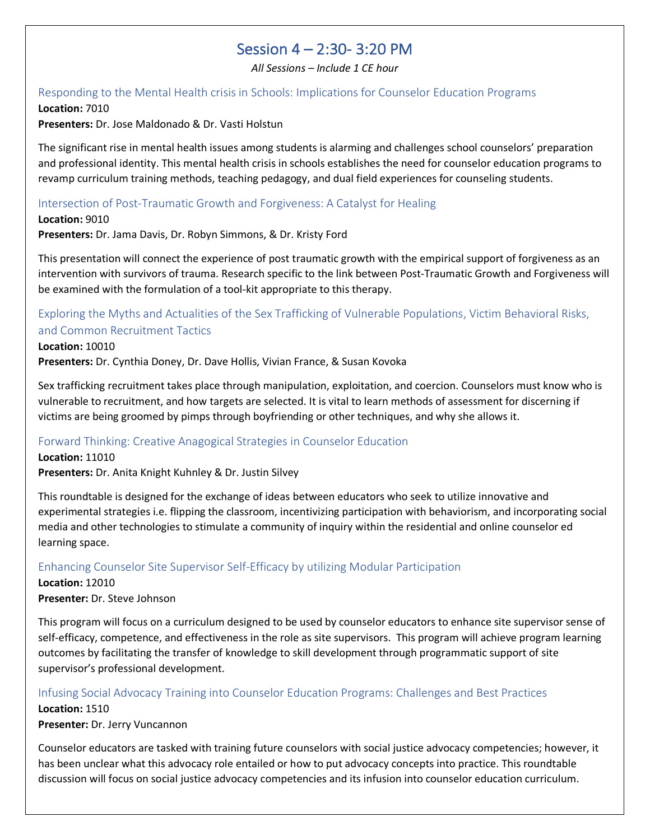## Session 4 – 2:30- 3:20 PM

*All Sessions – Include 1 CE hour*

#### Responding to the Mental Health crisis in Schools: Implications for Counselor Education Programs **Location:** 7010

**Presenters:** Dr. Jose Maldonado & Dr. Vasti Holstun

The significant rise in mental health issues among students is alarming and challenges school counselors' preparation and professional identity. This mental health crisis in schools establishes the need for counselor education programs to revamp curriculum training methods, teaching pedagogy, and dual field experiences for counseling students.

#### Intersection of Post-Traumatic Growth and Forgiveness: A Catalyst for Healing

**Location:** 9010

**Presenters:** Dr. Jama Davis, Dr. Robyn Simmons, & Dr. Kristy Ford

This presentation will connect the experience of post traumatic growth with the empirical support of forgiveness as an intervention with survivors of trauma. Research specific to the link between Post-Traumatic Growth and Forgiveness will be examined with the formulation of a tool-kit appropriate to this therapy.

#### Exploring the Myths and Actualities of the Sex Trafficking of Vulnerable Populations, Victim Behavioral Risks, and Common Recruitment Tactics

#### **Location:** 10010

**Presenters:** Dr. Cynthia Doney, Dr. Dave Hollis, Vivian France, & Susan Kovoka

Sex trafficking recruitment takes place through manipulation, exploitation, and coercion. Counselors must know who is vulnerable to recruitment, and how targets are selected. It is vital to learn methods of assessment for discerning if victims are being groomed by pimps through boyfriending or other techniques, and why she allows it.

#### Forward Thinking: Creative Anagogical Strategies in Counselor Education

**Location:** 11010 **Presenters:** Dr. Anita Knight Kuhnley & Dr. Justin Silvey

This roundtable is designed for the exchange of ideas between educators who seek to utilize innovative and experimental strategies i.e. flipping the classroom, incentivizing participation with behaviorism, and incorporating social media and other technologies to stimulate a community of inquiry within the residential and online counselor ed learning space.

#### Enhancing Counselor Site Supervisor Self-Efficacy by utilizing Modular Participation

**Location:** 12010 **Presenter:** Dr. Steve Johnson

This program will focus on a curriculum designed to be used by counselor educators to enhance site supervisor sense of self-efficacy, competence, and effectiveness in the role as site supervisors. This program will achieve program learning outcomes by facilitating the transfer of knowledge to skill development through programmatic support of site supervisor's professional development.

#### Infusing Social Advocacy Training into Counselor Education Programs: Challenges and Best Practices **Location:** 1510

**Presenter:** Dr. Jerry Vuncannon

Counselor educators are tasked with training future counselors with social justice advocacy competencies; however, it has been unclear what this advocacy role entailed or how to put advocacy concepts into practice. This roundtable discussion will focus on social justice advocacy competencies and its infusion into counselor education curriculum.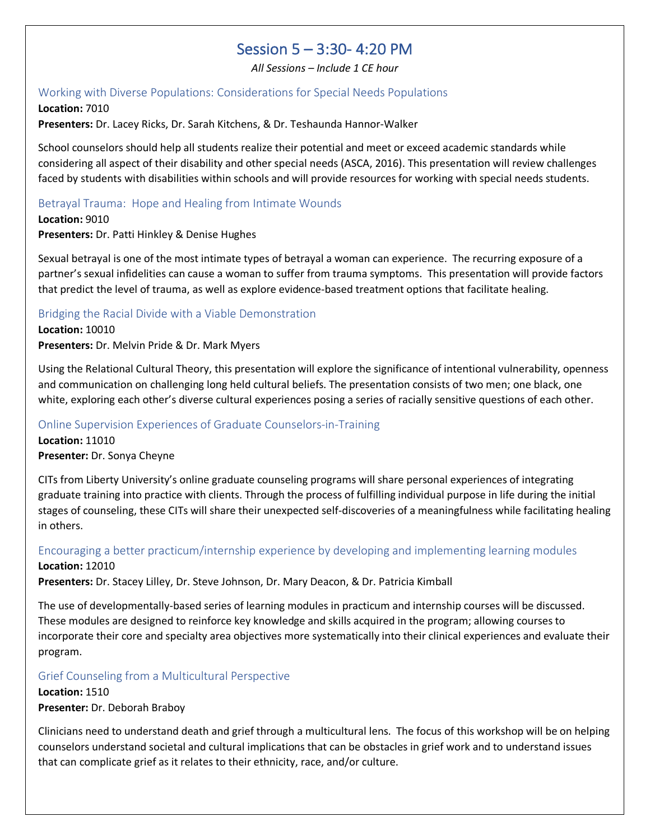## Session 5 – 3:30- 4:20 PM

*All Sessions – Include 1 CE hour*

#### Working with Diverse Populations: Considerations for Special Needs Populations

**Location:** 7010 **Presenters:** Dr. Lacey Ricks, Dr. Sarah Kitchens, & Dr. Teshaunda Hannor-Walker

School counselors should help all students realize their potential and meet or exceed academic standards while considering all aspect of their disability and other special needs (ASCA, 2016). This presentation will review challenges faced by students with disabilities within schools and will provide resources for working with special needs students.

#### Betrayal Trauma: Hope and Healing from Intimate Wounds

**Location:** 9010

**Presenters:** Dr. Patti Hinkley & Denise Hughes

Sexual betrayal is one of the most intimate types of betrayal a woman can experience. The recurring exposure of a partner's sexual infidelities can cause a woman to suffer from trauma symptoms. This presentation will provide factors that predict the level of trauma, as well as explore evidence-based treatment options that facilitate healing.

#### Bridging the Racial Divide with a Viable Demonstration

#### **Location:** 10010

**Presenters:** Dr. Melvin Pride & Dr. Mark Myers

Using the Relational Cultural Theory, this presentation will explore the significance of intentional vulnerability, openness and communication on challenging long held cultural beliefs. The presentation consists of two men; one black, one white, exploring each other's diverse cultural experiences posing a series of racially sensitive questions of each other.

#### Online Supervision Experiences of Graduate Counselors-in-Training

**Location:** 11010 **Presenter:** Dr. Sonya Cheyne

CITs from Liberty University's online graduate counseling programs will share personal experiences of integrating graduate training into practice with clients. Through the process of fulfilling individual purpose in life during the initial stages of counseling, these CITs will share their unexpected self-discoveries of a meaningfulness while facilitating healing in others.

#### Encouraging a better practicum/internship experience by developing and implementing learning modules **Location:** 12010

**Presenters:** Dr. Stacey Lilley, Dr. Steve Johnson, Dr. Mary Deacon, & Dr. Patricia Kimball

The use of developmentally-based series of learning modules in practicum and internship courses will be discussed. These modules are designed to reinforce key knowledge and skills acquired in the program; allowing courses to incorporate their core and specialty area objectives more systematically into their clinical experiences and evaluate their program.

#### Grief Counseling from a Multicultural Perspective

**Location:** 1510 **Presenter:** Dr. Deborah Braboy

Clinicians need to understand death and grief through a multicultural lens. The focus of this workshop will be on helping counselors understand societal and cultural implications that can be obstacles in grief work and to understand issues that can complicate grief as it relates to their ethnicity, race, and/or culture.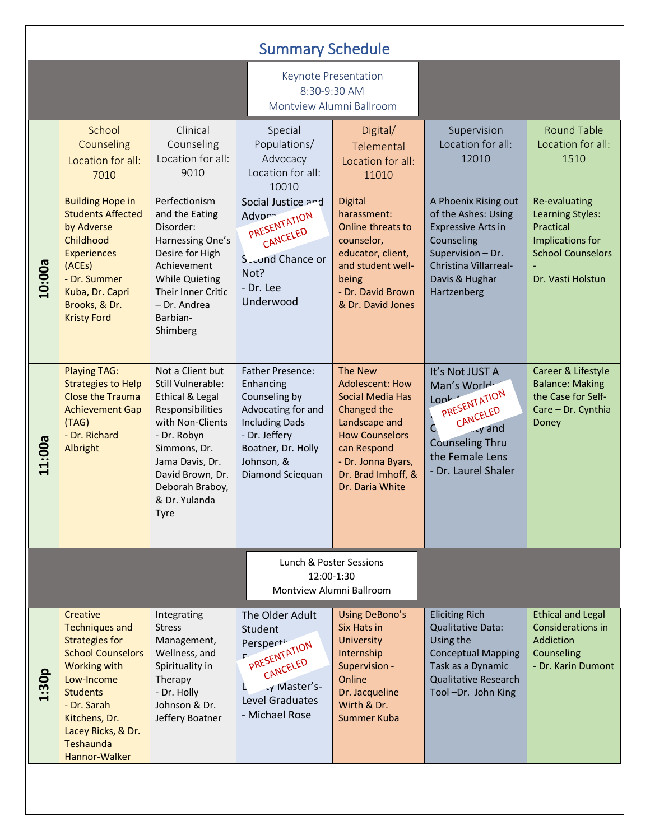| <b>Summary Schedule</b>                                           |                                                                                                                                                                                                                                    |                                                                                                                                                                                                                           |                                                                                                                                                                               |                                                                                                                                                                                                     |                                                                                                                                                                       |                                                                                                                     |  |  |
|-------------------------------------------------------------------|------------------------------------------------------------------------------------------------------------------------------------------------------------------------------------------------------------------------------------|---------------------------------------------------------------------------------------------------------------------------------------------------------------------------------------------------------------------------|-------------------------------------------------------------------------------------------------------------------------------------------------------------------------------|-----------------------------------------------------------------------------------------------------------------------------------------------------------------------------------------------------|-----------------------------------------------------------------------------------------------------------------------------------------------------------------------|---------------------------------------------------------------------------------------------------------------------|--|--|
|                                                                   |                                                                                                                                                                                                                                    |                                                                                                                                                                                                                           |                                                                                                                                                                               | Keynote Presentation<br>8:30-9:30 AM<br>Montview Alumni Ballroom                                                                                                                                    |                                                                                                                                                                       |                                                                                                                     |  |  |
|                                                                   | School<br>Counseling<br>Location for all:<br>7010                                                                                                                                                                                  | Clinical<br>Counseling<br>Location for all:<br>9010                                                                                                                                                                       | Special<br>Populations/<br>Advocacy<br>Location for all:<br>10010                                                                                                             | Digital/<br>Telemental<br>Location for all:<br>11010                                                                                                                                                | Supervision<br>Location for all:<br>12010                                                                                                                             | <b>Round Table</b><br>Location for all:<br>1510                                                                     |  |  |
| 10:00a                                                            | <b>Building Hope in</b><br><b>Students Affected</b><br>by Adverse<br>Childhood<br><b>Experiences</b><br>(ACEs)<br>- Dr. Summer<br>Kuba, Dr. Capri<br>Brooks, & Dr.<br><b>Kristy Ford</b>                                           | Perfectionism<br>and the Eating<br>Disorder:<br>Harnessing One's<br>Desire for High<br>Achievement<br><b>While Quieting</b><br>Their Inner Critic<br>- Dr. Andrea<br>Barbian-<br>Shimberg                                 | Social Justice and<br>Advor-<br>PRESENTATION<br>CANCELED<br>S <sub>zo</sub> und Chance or<br>Not?<br>- Dr. Lee<br>Underwood                                                   | <b>Digital</b><br>harassment:<br>Online threats to<br>counselor,<br>educator, client,<br>and student well-<br>being<br>- Dr. David Brown<br>& Dr. David Jones                                       | A Phoenix Rising out<br>of the Ashes: Using<br><b>Expressive Arts in</b><br>Counseling<br>Supervision - Dr.<br>Christina Villarreal-<br>Davis & Hughar<br>Hartzenberg | Re-evaluating<br>Learning Styles:<br>Practical<br>Implications for<br><b>School Counselors</b><br>Dr. Vasti Holstun |  |  |
| 11:00a                                                            | <b>Playing TAG:</b><br><b>Strategies to Help</b><br><b>Close the Trauma</b><br><b>Achievement Gap</b><br>(TAG)<br>- Dr. Richard<br>Albright                                                                                        | Not a Client but<br>Still Vulnerable:<br>Ethical & Legal<br>Responsibilities<br>with Non-Clients<br>- Dr. Robyn<br>Simmons, Dr.<br>Jama Davis, Dr.<br>David Brown, Dr.<br>Deborah Braboy,<br>& Dr. Yulanda<br><b>Tyre</b> | <b>Father Presence:</b><br>Enhancing<br>Counseling by<br>Advocating for and<br><b>Including Dads</b><br>- Dr. Jeffery<br>Boatner, Dr. Holly<br>Johnson, &<br>Diamond Sciequan | <b>The New</b><br><b>Adolescent: How</b><br>Social Media Has<br>Changed the<br>Landscape and<br><b>How Counselors</b><br>can Respond<br>- Dr. Jonna Byars,<br>Dr. Brad Imhoff, &<br>Dr. Daria White | It's Not JUST A<br>Man's World.<br>PRESENTATION<br>Lov <sup>k</sup><br>CANCELED<br>cy and<br>C.<br><b>Counseling Thru</b><br>the Female Lens<br>- Dr. Laurel Shaler   | Career & Lifestyle<br><b>Balance: Making</b><br>the Case for Self-<br>Care - Dr. Cynthia<br>Doney                   |  |  |
| Lunch & Poster Sessions<br>12:00-1:30<br>Montview Alumni Ballroom |                                                                                                                                                                                                                                    |                                                                                                                                                                                                                           |                                                                                                                                                                               |                                                                                                                                                                                                     |                                                                                                                                                                       |                                                                                                                     |  |  |
| 1:30p                                                             | Creative<br><b>Techniques and</b><br><b>Strategies for</b><br><b>School Counselors</b><br><b>Working with</b><br>Low-Income<br><b>Students</b><br>- Dr. Sarah<br>Kitchens, Dr.<br>Lacey Ricks, & Dr.<br>Teshaunda<br>Hannor-Walker | Integrating<br><b>Stress</b><br>Management,<br>Wellness, and<br>Spirituality in<br>Therapy<br>- Dr. Holly<br>Johnson & Dr.<br>Jeffery Boatner                                                                             | The Older Adult<br>Student<br>Perspecti<br>PRESENTATION<br>CANCELED<br>y Master's-<br>г<br>Level Graduates<br>- Michael Rose                                                  | Using DeBono's<br>Six Hats in<br>University<br>Internship<br>Supervision -<br>Online<br>Dr. Jacqueline<br>Wirth & Dr.<br>Summer Kuba                                                                | <b>Eliciting Rich</b><br><b>Qualitative Data:</b><br>Using the<br><b>Conceptual Mapping</b><br>Task as a Dynamic<br><b>Qualitative Research</b><br>Tool-Dr. John King | <b>Ethical and Legal</b><br>Considerations in<br>Addiction<br>Counseling<br>- Dr. Karin Dumont                      |  |  |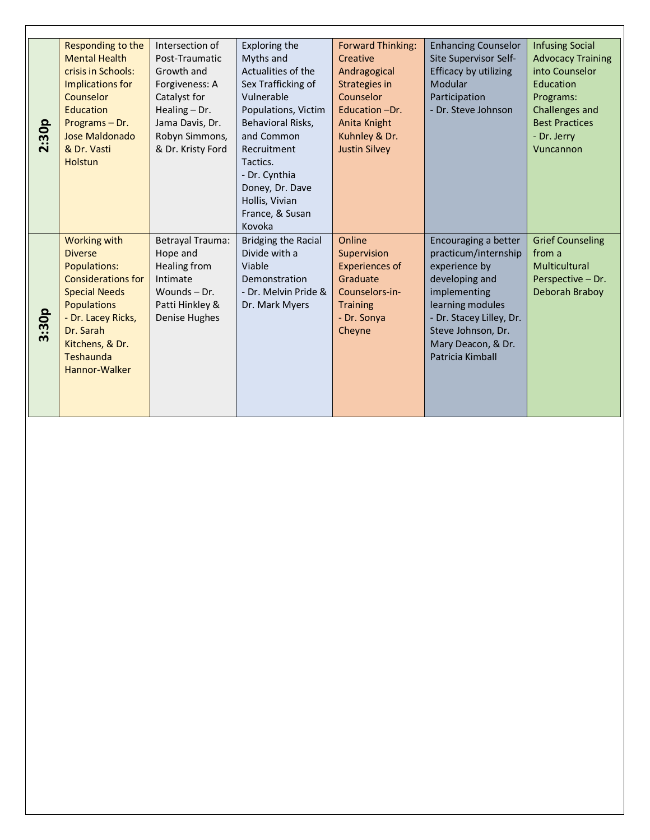|                     | Responding to the         | Intersection of   | Exploring the        | <b>Forward Thinking:</b> | <b>Enhancing Counselor</b> | <b>Infusing Social</b>   |
|---------------------|---------------------------|-------------------|----------------------|--------------------------|----------------------------|--------------------------|
|                     | <b>Mental Health</b>      | Post-Traumatic    | Myths and            | Creative                 | Site Supervisor Self-      | <b>Advocacy Training</b> |
|                     | crisis in Schools:        | Growth and        | Actualities of the   | Andragogical             | Efficacy by utilizing      | into Counselor           |
|                     | Implications for          | Forgiveness: A    | Sex Trafficking of   | Strategies in            | Modular                    | Education                |
|                     | Counselor                 | Catalyst for      | Vulnerable           | Counselor                | Participation              | Programs:                |
|                     | <b>Education</b>          | Healing $-$ Dr.   | Populations, Victim  | Education -Dr.           | - Dr. Steve Johnson        | Challenges and           |
|                     | Programs-Dr.              | Jama Davis, Dr.   | Behavioral Risks,    | Anita Knight             |                            | <b>Best Practices</b>    |
| 30p                 | Jose Maldonado            | Robyn Simmons,    | and Common           | Kuhnley & Dr.            |                            | - Dr. Jerry              |
| $\ddot{\mathbf{c}}$ | & Dr. Vasti               | & Dr. Kristy Ford | Recruitment          | <b>Justin Silvey</b>     |                            | Vuncannon                |
|                     | <b>Holstun</b>            |                   | Tactics.             |                          |                            |                          |
|                     |                           |                   | - Dr. Cynthia        |                          |                            |                          |
|                     |                           |                   | Doney, Dr. Dave      |                          |                            |                          |
|                     |                           |                   | Hollis, Vivian       |                          |                            |                          |
|                     |                           |                   | France, & Susan      |                          |                            |                          |
|                     |                           |                   | Kovoka               |                          |                            |                          |
|                     | <b>Working with</b>       | Betrayal Trauma:  | Bridging the Racial  | Online                   | Encouraging a better       | <b>Grief Counseling</b>  |
|                     | <b>Diverse</b>            | Hope and          | Divide with a        | Supervision              | practicum/internship       | from a                   |
|                     | <b>Populations:</b>       | Healing from      | Viable               | <b>Experiences of</b>    | experience by              | Multicultural            |
|                     | <b>Considerations for</b> | Intimate          | <b>Demonstration</b> | Graduate                 | developing and             | Perspective - Dr.        |
|                     | <b>Special Needs</b>      | Wounds-Dr.        | - Dr. Melvin Pride & | Counselors-in-           | implementing               | Deborah Braboy           |
|                     |                           | Patti Hinkley &   |                      |                          |                            |                          |
|                     | <b>Populations</b>        |                   | Dr. Mark Myers       | <b>Training</b>          | learning modules           |                          |
| :30p                | - Dr. Lacey Ricks,        | Denise Hughes     |                      | - Dr. Sonya              | - Dr. Stacey Lilley, Dr.   |                          |
| $\boldsymbol{m}$    | Dr. Sarah                 |                   |                      | Cheyne                   | Steve Johnson, Dr.         |                          |
|                     | Kitchens, & Dr.           |                   |                      |                          | Mary Deacon, & Dr.         |                          |
|                     | Teshaunda                 |                   |                      |                          | Patricia Kimball           |                          |
|                     | Hannor-Walker             |                   |                      |                          |                            |                          |
|                     |                           |                   |                      |                          |                            |                          |
|                     |                           |                   |                      |                          |                            |                          |
|                     |                           |                   |                      |                          |                            |                          |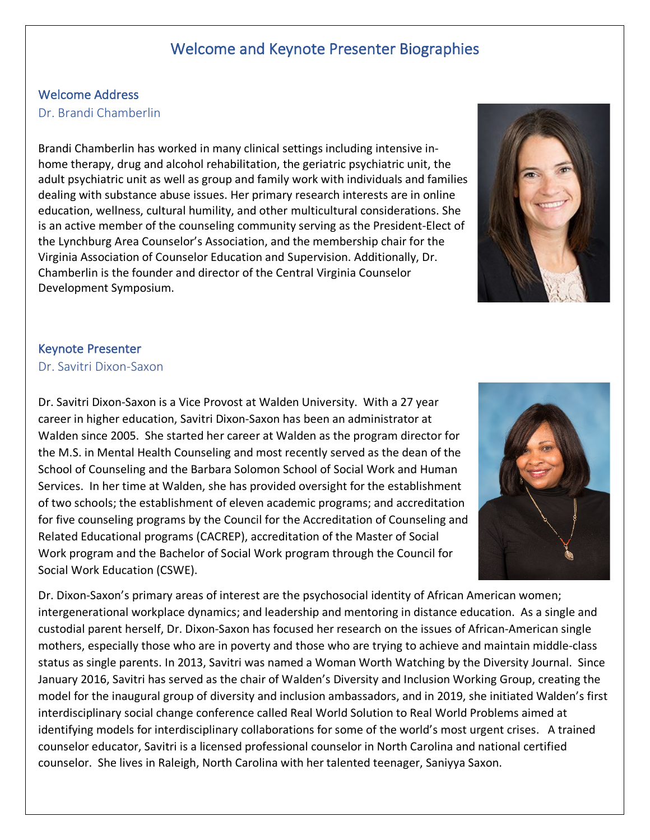## Welcome and Keynote Presenter Biographies

#### Welcome Address

#### Dr. Brandi Chamberlin

Brandi Chamberlin has worked in many clinical settings including intensive inhome therapy, drug and alcohol rehabilitation, the geriatric psychiatric unit, the adult psychiatric unit as well as group and family work with individuals and families dealing with substance abuse issues. Her primary research interests are in online education, wellness, cultural humility, and other multicultural considerations. She is an active member of the counseling community serving as the President-Elect of the Lynchburg Area Counselor's Association, and the membership chair for the Virginia Association of Counselor Education and Supervision. Additionally, Dr. Chamberlin is the founder and director of the Central Virginia Counselor Development Symposium.



#### Keynote Presenter

#### Dr. Savitri Dixon-Saxon

Dr. Savitri Dixon-Saxon is a Vice Provost at Walden University. With a 27 year career in higher education, Savitri Dixon-Saxon has been an administrator at Walden since 2005. She started her career at Walden as the program director for the M.S. in Mental Health Counseling and most recently served as the dean of the School of Counseling and the Barbara Solomon School of Social Work and Human Services. In her time at Walden, she has provided oversight for the establishment of two schools; the establishment of eleven academic programs; and accreditation for five counseling programs by the Council for the Accreditation of Counseling and Related Educational programs (CACREP), accreditation of the Master of Social Work program and the Bachelor of Social Work program through the Council for Social Work Education (CSWE).



Dr. Dixon-Saxon's primary areas of interest are the psychosocial identity of African American women; intergenerational workplace dynamics; and leadership and mentoring in distance education. As a single and custodial parent herself, Dr. Dixon-Saxon has focused her research on the issues of African-American single mothers, especially those who are in poverty and those who are trying to achieve and maintain middle-class status as single parents. In 2013, Savitri was named a Woman Worth Watching by the Diversity Journal. Since January 2016, Savitri has served as the chair of Walden's Diversity and Inclusion Working Group, creating the model for the inaugural group of diversity and inclusion ambassadors, and in 2019, she initiated Walden's first interdisciplinary social change conference called Real World Solution to Real World Problems aimed at identifying models for interdisciplinary collaborations for some of the world's most urgent crises. A trained counselor educator, Savitri is a licensed professional counselor in North Carolina and national certified counselor. She lives in Raleigh, North Carolina with her talented teenager, Saniyya Saxon.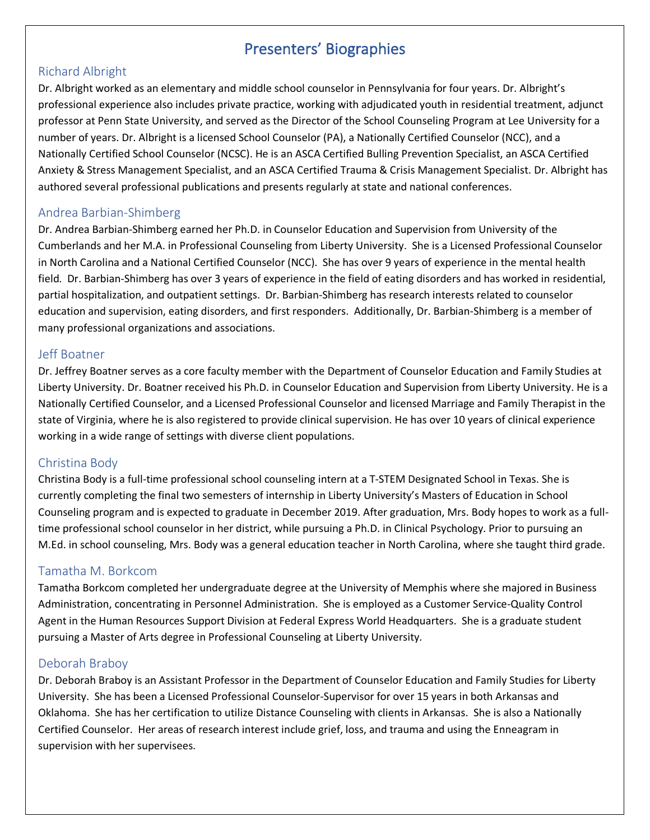## Presenters' Biographies

#### Richard Albright

Dr. Albright worked as an elementary and middle school counselor in Pennsylvania for four years. Dr. Albright's professional experience also includes private practice, working with adjudicated youth in residential treatment, adjunct professor at Penn State University, and served as the Director of the School Counseling Program at Lee University for a number of years. Dr. Albright is a licensed School Counselor (PA), a Nationally Certified Counselor (NCC), and a Nationally Certified School Counselor (NCSC). He is an ASCA Certified Bulling Prevention Specialist, an ASCA Certified Anxiety & Stress Management Specialist, and an ASCA Certified Trauma & Crisis Management Specialist. Dr. Albright has authored several professional publications and presents regularly at state and national conferences.

#### Andrea Barbian-Shimberg

Dr. Andrea Barbian-Shimberg earned her Ph.D. in Counselor Education and Supervision from University of the Cumberlands and her M.A. in Professional Counseling from Liberty University. She is a Licensed Professional Counselor in North Carolina and a National Certified Counselor (NCC). She has over 9 years of experience in the mental health field. Dr. Barbian-Shimberg has over 3 years of experience in the field of eating disorders and has worked in residential, partial hospitalization, and outpatient settings. Dr. Barbian-Shimberg has research interests related to counselor education and supervision, eating disorders, and first responders. Additionally, Dr. Barbian-Shimberg is a member of many professional organizations and associations.

#### Jeff Boatner

Dr. Jeffrey Boatner serves as a core faculty member with the Department of Counselor Education and Family Studies at Liberty University. Dr. Boatner received his Ph.D. in Counselor Education and Supervision from Liberty University. He is a Nationally Certified Counselor, and a Licensed Professional Counselor and licensed Marriage and Family Therapist in the state of Virginia, where he is also registered to provide clinical supervision. He has over 10 years of clinical experience working in a wide range of settings with diverse client populations.

#### Christina Body

Christina Body is a full-time professional school counseling intern at a T-STEM Designated School in Texas. She is currently completing the final two semesters of internship in Liberty University's Masters of Education in School Counseling program and is expected to graduate in December 2019. After graduation, Mrs. Body hopes to work as a fulltime professional school counselor in her district, while pursuing a Ph.D. in Clinical Psychology. Prior to pursuing an M.Ed. in school counseling, Mrs. Body was a general education teacher in North Carolina, where she taught third grade.

#### Tamatha M. Borkcom

Tamatha Borkcom completed her undergraduate degree at the University of Memphis where she majored in Business Administration, concentrating in Personnel Administration. She is employed as a Customer Service-Quality Control Agent in the Human Resources Support Division at Federal Express World Headquarters. She is a graduate student pursuing a Master of Arts degree in Professional Counseling at Liberty University.

#### Deborah Braboy

Dr. Deborah Braboy is an Assistant Professor in the Department of Counselor Education and Family Studies for Liberty University. She has been a Licensed Professional Counselor-Supervisor for over 15 years in both Arkansas and Oklahoma. She has her certification to utilize Distance Counseling with clients in Arkansas. She is also a Nationally Certified Counselor. Her areas of research interest include grief, loss, and trauma and using the Enneagram in supervision with her supervisees.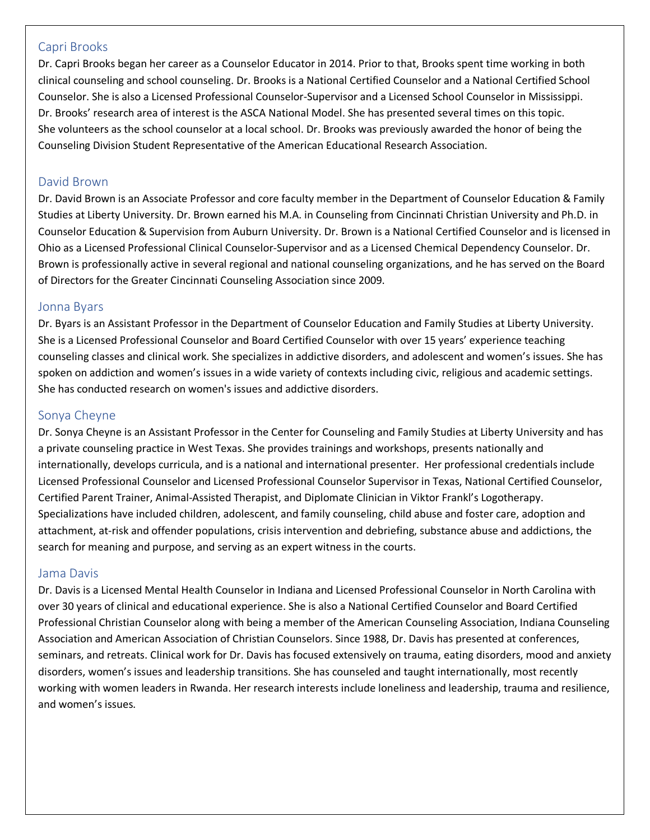#### Capri Brooks

Dr. Capri Brooks began her career as a Counselor Educator in 2014. Prior to that, Brooks spent time working in both clinical counseling and school counseling. Dr. Brooks is a National Certified Counselor and a National Certified School Counselor. She is also a Licensed Professional Counselor-Supervisor and a Licensed School Counselor in Mississippi. Dr. Brooks' research area of interest is the ASCA National Model. She has presented several times on this topic. She volunteers as the school counselor at a local school. Dr. Brooks was previously awarded the honor of being the Counseling Division Student Representative of the American Educational Research Association.

#### David Brown

Dr. David Brown is an Associate Professor and core faculty member in the Department of Counselor Education & Family Studies at Liberty University. Dr. Brown earned his M.A. in Counseling from Cincinnati Christian University and Ph.D. in Counselor Education & Supervision from Auburn University. Dr. Brown is a National Certified Counselor and is licensed in Ohio as a Licensed Professional Clinical Counselor-Supervisor and as a Licensed Chemical Dependency Counselor. Dr. Brown is professionally active in several regional and national counseling organizations, and he has served on the Board of Directors for the Greater Cincinnati Counseling Association since 2009.

#### Jonna Byars

Dr. Byars is an Assistant Professor in the Department of Counselor Education and Family Studies at Liberty University. She is a Licensed Professional Counselor and Board Certified Counselor with over 15 years' experience teaching counseling classes and clinical work. She specializes in addictive disorders, and adolescent and women's issues. She has spoken on addiction and women's issues in a wide variety of contexts including civic, religious and academic settings. She has conducted research on women's issues and addictive disorders.

#### Sonya Cheyne

Dr. Sonya Cheyne is an Assistant Professor in the Center for Counseling and Family Studies at Liberty University and has a private counseling practice in West Texas. She provides trainings and workshops, presents nationally and internationally, develops curricula, and is a national and international presenter. Her professional credentials include Licensed Professional Counselor and Licensed Professional Counselor Supervisor in Texas, National Certified Counselor, Certified Parent Trainer, Animal-Assisted Therapist, and Diplomate Clinician in Viktor Frankl's Logotherapy. Specializations have included children, adolescent, and family counseling, child abuse and foster care, adoption and attachment, at-risk and offender populations, crisis intervention and debriefing, substance abuse and addictions, the search for meaning and purpose, and serving as an expert witness in the courts.

#### Jama Davis

Dr. Davis is a Licensed Mental Health Counselor in Indiana and Licensed Professional Counselor in North Carolina with over 30 years of clinical and educational experience. She is also a National Certified Counselor and Board Certified Professional Christian Counselor along with being a member of the American Counseling Association, Indiana Counseling Association and American Association of Christian Counselors. Since 1988, Dr. Davis has presented at conferences, seminars, and retreats. Clinical work for Dr. Davis has focused extensively on trauma, eating disorders, mood and anxiety disorders, women's issues and leadership transitions. She has counseled and taught internationally, most recently working with women leaders in Rwanda. Her research interests include loneliness and leadership, trauma and resilience, and women's issues.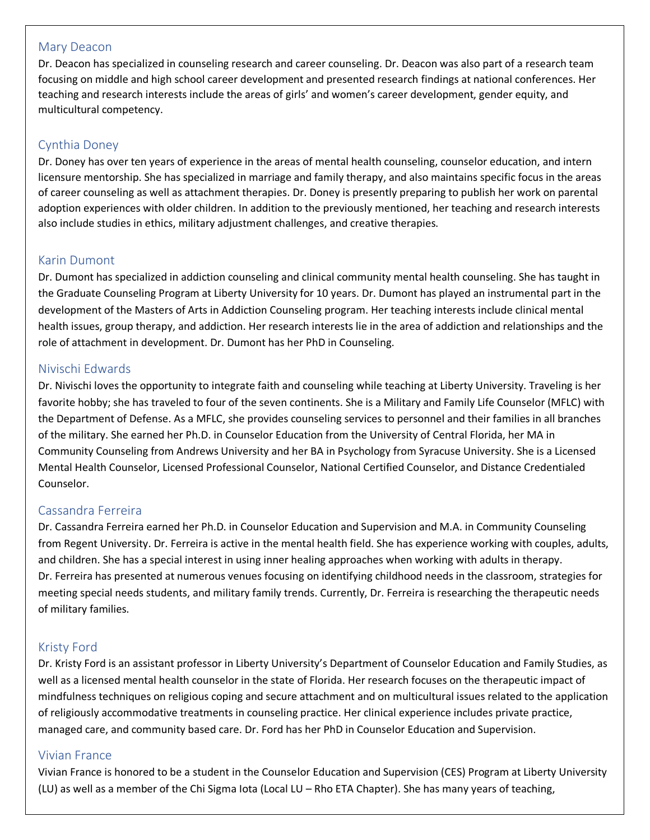#### Mary Deacon

Dr. Deacon has specialized in counseling research and career counseling. Dr. Deacon was also part of a research team focusing on middle and high school career development and presented research findings at national conferences. Her teaching and research interests include the areas of girls' and women's career development, gender equity, and multicultural competency.

#### Cynthia Doney

Dr. Doney has over ten years of experience in the areas of mental health counseling, counselor education, and intern licensure mentorship. She has specialized in marriage and family therapy, and also maintains specific focus in the areas of career counseling as well as attachment therapies. Dr. Doney is presently preparing to publish her work on parental adoption experiences with older children. In addition to the previously mentioned, her teaching and research interests also include studies in ethics, military adjustment challenges, and creative therapies.

#### Karin Dumont

Dr. Dumont has specialized in addiction counseling and clinical community mental health counseling. She has taught in the Graduate Counseling Program at Liberty University for 10 years. Dr. Dumont has played an instrumental part in the development of the Masters of Arts in Addiction Counseling program. Her teaching interests include clinical mental health issues, group therapy, and addiction. Her research interests lie in the area of addiction and relationships and the role of attachment in development. Dr. Dumont has her PhD in Counseling.

#### Nivischi Edwards

Dr. Nivischi loves the opportunity to integrate faith and counseling while teaching at Liberty University. Traveling is her favorite hobby; she has traveled to four of the seven continents. She is a Military and Family Life Counselor (MFLC) with the Department of Defense. As a MFLC, she provides counseling services to personnel and their families in all branches of the military. She earned her Ph.D. in Counselor Education from the University of Central Florida, her MA in Community Counseling from Andrews University and her BA in Psychology from Syracuse University. She is a Licensed Mental Health Counselor, Licensed Professional Counselor, National Certified Counselor, and Distance Credentialed Counselor.

#### Cassandra Ferreira

Dr. Cassandra Ferreira earned her Ph.D. in Counselor Education and Supervision and M.A. in Community Counseling from Regent University. Dr. Ferreira is active in the mental health field. She has experience working with couples, adults, and children. She has a special interest in using inner healing approaches when working with adults in therapy. Dr. Ferreira has presented at numerous venues focusing on identifying childhood needs in the classroom, strategies for meeting special needs students, and military family trends. Currently, Dr. Ferreira is researching the therapeutic needs of military families.

#### Kristy Ford

Dr. Kristy Ford is an assistant professor in Liberty University's Department of Counselor Education and Family Studies, as well as a licensed mental health counselor in the state of Florida. Her research focuses on the therapeutic impact of mindfulness techniques on religious coping and secure attachment and on multicultural issues related to the application of religiously accommodative treatments in counseling practice. Her clinical experience includes private practice, managed care, and community based care. Dr. Ford has her PhD in Counselor Education and Supervision.

#### Vivian France

Vivian France is honored to be a student in the Counselor Education and Supervision (CES) Program at Liberty University (LU) as well as a member of the Chi Sigma Iota (Local LU – Rho ETA Chapter). She has many years of teaching,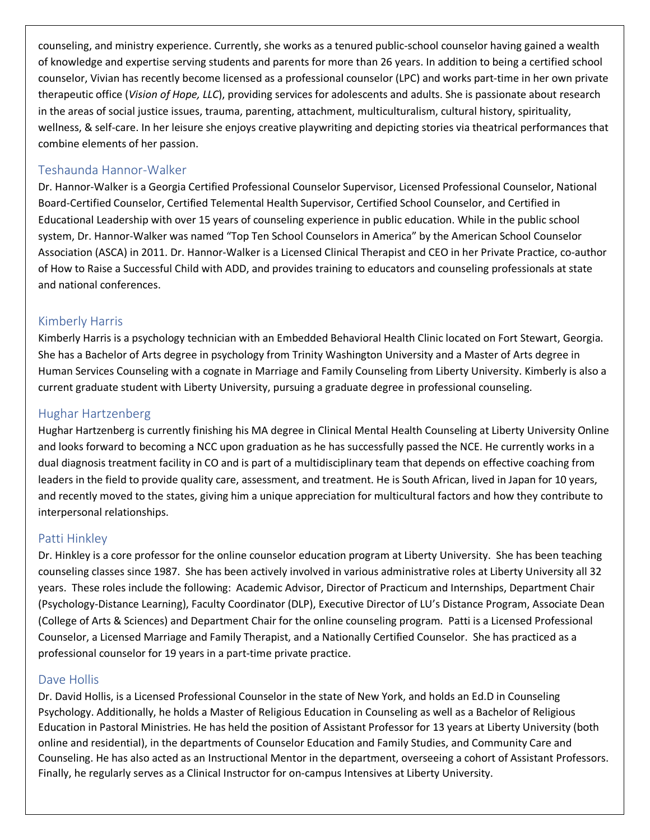counseling, and ministry experience. Currently, she works as a tenured public-school counselor having gained a wealth of knowledge and expertise serving students and parents for more than 26 years. In addition to being a certified school counselor, Vivian has recently become licensed as a professional counselor (LPC) and works part-time in her own private therapeutic office (*Vision of Hope, LLC*), providing services for adolescents and adults. She is passionate about research in the areas of social justice issues, trauma, parenting, attachment, multiculturalism, cultural history, spirituality, wellness, & self-care. In her leisure she enjoys creative playwriting and depicting stories via theatrical performances that combine elements of her passion.

#### Teshaunda Hannor-Walker

Dr. Hannor-Walker is a Georgia Certified Professional Counselor Supervisor, Licensed Professional Counselor, National Board-Certified Counselor, Certified Telemental Health Supervisor, Certified School Counselor, and Certified in Educational Leadership with over 15 years of counseling experience in public education. While in the public school system, Dr. Hannor-Walker was named "Top Ten School Counselors in America" by the American School Counselor Association (ASCA) in 2011. Dr. Hannor-Walker is a Licensed Clinical Therapist and CEO in her Private Practice, co-author of How to Raise a Successful Child with ADD, and provides training to educators and counseling professionals at state and national conferences.

#### Kimberly Harris

Kimberly Harris is a psychology technician with an Embedded Behavioral Health Clinic located on Fort Stewart, Georgia. She has a Bachelor of Arts degree in psychology from Trinity Washington University and a Master of Arts degree in Human Services Counseling with a cognate in Marriage and Family Counseling from Liberty University. Kimberly is also a current graduate student with Liberty University, pursuing a graduate degree in professional counseling.

#### Hughar Hartzenberg

Hughar Hartzenberg is currently finishing his MA degree in Clinical Mental Health Counseling at Liberty University Online and looks forward to becoming a NCC upon graduation as he has successfully passed the NCE. He currently works in a dual diagnosis treatment facility in CO and is part of a multidisciplinary team that depends on effective coaching from leaders in the field to provide quality care, assessment, and treatment. He is South African, lived in Japan for 10 years, and recently moved to the states, giving him a unique appreciation for multicultural factors and how they contribute to interpersonal relationships.

#### Patti Hinkley

Dr. Hinkley is a core professor for the online counselor education program at Liberty University. She has been teaching counseling classes since 1987. She has been actively involved in various administrative roles at Liberty University all 32 years. These roles include the following: Academic Advisor, Director of Practicum and Internships, Department Chair (Psychology-Distance Learning), Faculty Coordinator (DLP), Executive Director of LU's Distance Program, Associate Dean (College of Arts & Sciences) and Department Chair for the online counseling program. Patti is a Licensed Professional Counselor, a Licensed Marriage and Family Therapist, and a Nationally Certified Counselor. She has practiced as a professional counselor for 19 years in a part-time private practice.

#### Dave Hollis

Dr. David Hollis, is a Licensed Professional Counselor in the state of New York, and holds an Ed.D in Counseling Psychology. Additionally, he holds a Master of Religious Education in Counseling as well as a Bachelor of Religious Education in Pastoral Ministries. He has held the position of Assistant Professor for 13 years at Liberty University (both online and residential), in the departments of Counselor Education and Family Studies, and Community Care and Counseling. He has also acted as an Instructional Mentor in the department, overseeing a cohort of Assistant Professors. Finally, he regularly serves as a Clinical Instructor for on-campus Intensives at Liberty University.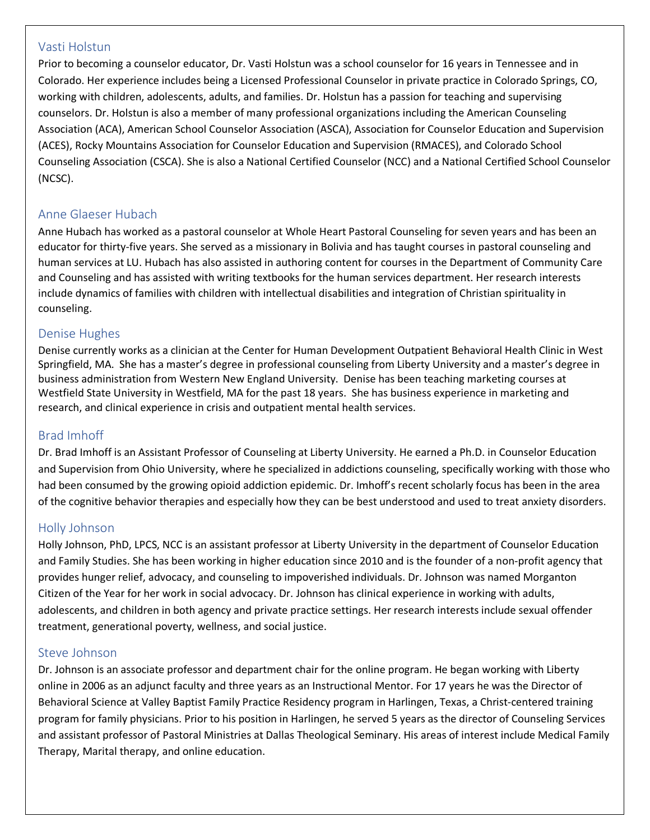#### Vasti Holstun

Prior to becoming a counselor educator, Dr. Vasti Holstun was a school counselor for 16 years in Tennessee and in Colorado. Her experience includes being a Licensed Professional Counselor in private practice in Colorado Springs, CO, working with children, adolescents, adults, and families. Dr. Holstun has a passion for teaching and supervising counselors. Dr. Holstun is also a member of many professional organizations including the American Counseling Association (ACA), American School Counselor Association (ASCA), Association for Counselor Education and Supervision (ACES), Rocky Mountains Association for Counselor Education and Supervision (RMACES), and Colorado School Counseling Association (CSCA). She is also a National Certified Counselor (NCC) and a National Certified School Counselor (NCSC).

#### Anne Glaeser Hubach

Anne Hubach has worked as a pastoral counselor at Whole Heart Pastoral Counseling for seven years and has been an educator for thirty-five years. She served as a missionary in Bolivia and has taught courses in pastoral counseling and human services at LU. Hubach has also assisted in authoring content for courses in the Department of Community Care and Counseling and has assisted with writing textbooks for the human services department. Her research interests include dynamics of families with children with intellectual disabilities and integration of Christian spirituality in counseling.

#### Denise Hughes

Denise currently works as a clinician at the Center for Human Development Outpatient Behavioral Health Clinic in West Springfield, MA. She has a master's degree in professional counseling from Liberty University and a master's degree in business administration from Western New England University. Denise has been teaching marketing courses at Westfield State University in Westfield, MA for the past 18 years. She has business experience in marketing and research, and clinical experience in crisis and outpatient mental health services.

#### Brad Imhoff

Dr. Brad Imhoff is an Assistant Professor of Counseling at Liberty University. He earned a Ph.D. in Counselor Education and Supervision from Ohio University, where he specialized in addictions counseling, specifically working with those who had been consumed by the growing opioid addiction epidemic. Dr. Imhoff's recent scholarly focus has been in the area of the cognitive behavior therapies and especially how they can be best understood and used to treat anxiety disorders.

#### Holly Johnson

Holly Johnson, PhD, LPCS, NCC is an assistant professor at Liberty University in the department of Counselor Education and Family Studies. She has been working in higher education since 2010 and is the founder of a non-profit agency that provides hunger relief, advocacy, and counseling to impoverished individuals. Dr. Johnson was named Morganton Citizen of the Year for her work in social advocacy. Dr. Johnson has clinical experience in working with adults, adolescents, and children in both agency and private practice settings. Her research interests include sexual offender treatment, generational poverty, wellness, and social justice.

#### Steve Johnson

Dr. Johnson is an associate professor and department chair for the online program. He began working with Liberty online in 2006 as an adjunct faculty and three years as an Instructional Mentor. For 17 years he was the Director of Behavioral Science at Valley Baptist Family Practice Residency program in Harlingen, Texas, a Christ-centered training program for family physicians. Prior to his position in Harlingen, he served 5 years as the director of Counseling Services and assistant professor of Pastoral Ministries at Dallas Theological Seminary. His areas of interest include Medical Family Therapy, Marital therapy, and online education.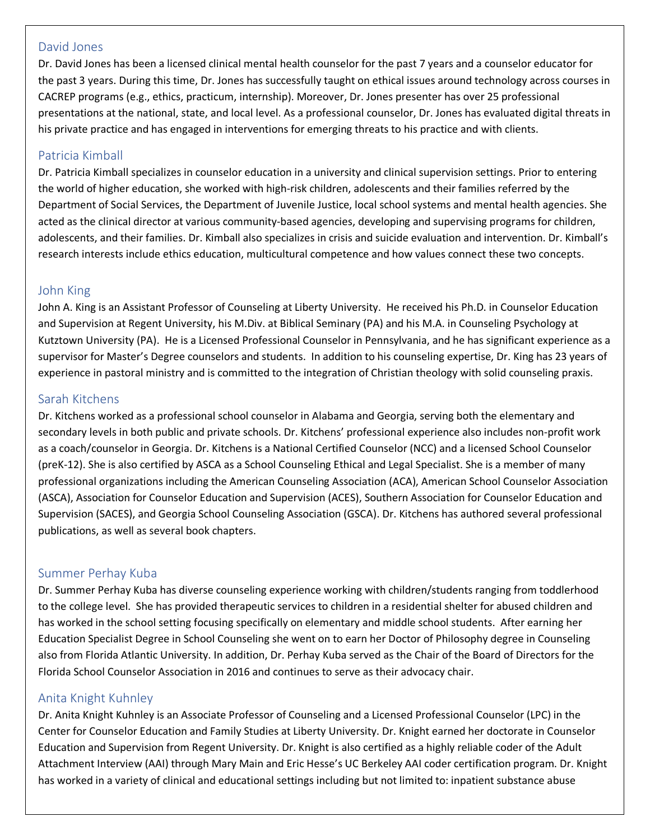#### David Jones

Dr. David Jones has been a licensed clinical mental health counselor for the past 7 years and a counselor educator for the past 3 years. During this time, Dr. Jones has successfully taught on ethical issues around technology across courses in CACREP programs (e.g., ethics, practicum, internship). Moreover, Dr. Jones presenter has over 25 professional presentations at the national, state, and local level. As a professional counselor, Dr. Jones has evaluated digital threats in his private practice and has engaged in interventions for emerging threats to his practice and with clients.

#### Patricia Kimball

Dr. Patricia Kimball specializes in counselor education in a university and clinical supervision settings. Prior to entering the world of higher education, she worked with high-risk children, adolescents and their families referred by the Department of Social Services, the Department of Juvenile Justice, local school systems and mental health agencies. She acted as the clinical director at various community-based agencies, developing and supervising programs for children, adolescents, and their families. Dr. Kimball also specializes in crisis and suicide evaluation and intervention. Dr. Kimball's research interests include ethics education, multicultural competence and how values connect these two concepts.

#### John King

John A. King is an Assistant Professor of Counseling at Liberty University. He received his Ph.D. in Counselor Education and Supervision at Regent University, his M.Div. at Biblical Seminary (PA) and his M.A. in Counseling Psychology at Kutztown University (PA). He is a Licensed Professional Counselor in Pennsylvania, and he has significant experience as a supervisor for Master's Degree counselors and students. In addition to his counseling expertise, Dr. King has 23 years of experience in pastoral ministry and is committed to the integration of Christian theology with solid counseling praxis.

#### Sarah Kitchens

Dr. Kitchens worked as a professional school counselor in Alabama and Georgia, serving both the elementary and secondary levels in both public and private schools. Dr. Kitchens' professional experience also includes non-profit work as a coach/counselor in Georgia. Dr. Kitchens is a National Certified Counselor (NCC) and a licensed School Counselor (preK-12). She is also certified by ASCA as a School Counseling Ethical and Legal Specialist. She is a member of many professional organizations including the American Counseling Association (ACA), American School Counselor Association (ASCA), Association for Counselor Education and Supervision (ACES), Southern Association for Counselor Education and Supervision (SACES), and Georgia School Counseling Association (GSCA). Dr. Kitchens has authored several professional publications, as well as several book chapters.

#### Summer Perhay Kuba

Dr. Summer Perhay Kuba has diverse counseling experience working with children/students ranging from toddlerhood to the college level. She has provided therapeutic services to children in a residential shelter for abused children and has worked in the school setting focusing specifically on elementary and middle school students. After earning her Education Specialist Degree in School Counseling she went on to earn her Doctor of Philosophy degree in Counseling also from Florida Atlantic University. In addition, Dr. Perhay Kuba served as the Chair of the Board of Directors for the Florida School Counselor Association in 2016 and continues to serve as their advocacy chair.

#### Anita Knight Kuhnley

Dr. Anita Knight Kuhnley is an Associate Professor of Counseling and a Licensed Professional Counselor (LPC) in the Center for Counselor Education and Family Studies at Liberty University. Dr. Knight earned her doctorate in Counselor Education and Supervision from Regent University. Dr. Knight is also certified as a highly reliable coder of the Adult Attachment Interview (AAI) through Mary Main and Eric Hesse's UC Berkeley AAI coder certification program. Dr. Knight has worked in a variety of clinical and educational settings including but not limited to: inpatient substance abuse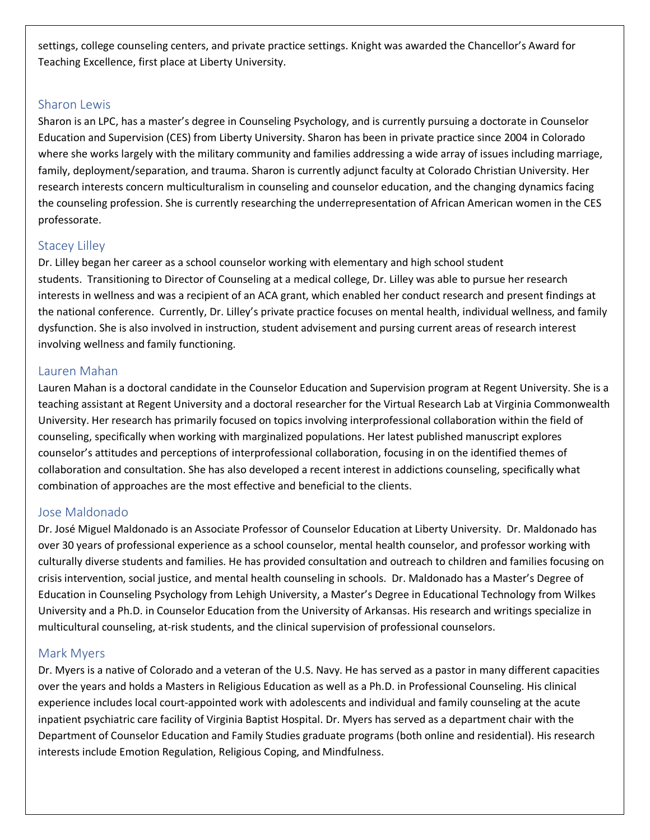settings, college counseling centers, and private practice settings. Knight was awarded the Chancellor's Award for Teaching Excellence, first place at Liberty University.

#### Sharon Lewis

Sharon is an LPC, has a master's degree in Counseling Psychology, and is currently pursuing a doctorate in Counselor Education and Supervision (CES) from Liberty University. Sharon has been in private practice since 2004 in Colorado where she works largely with the military community and families addressing a wide array of issues including marriage, family, deployment/separation, and trauma. Sharon is currently adjunct faculty at Colorado Christian University. Her research interests concern multiculturalism in counseling and counselor education, and the changing dynamics facing the counseling profession. She is currently researching the underrepresentation of African American women in the CES professorate.

#### Stacey Lilley

Dr. Lilley began her career as a school counselor working with elementary and high school student students. Transitioning to Director of Counseling at a medical college, Dr. Lilley was able to pursue her research interests in wellness and was a recipient of an ACA grant, which enabled her conduct research and present findings at the national conference. Currently, Dr. Lilley's private practice focuses on mental health, individual wellness, and family dysfunction. She is also involved in instruction, student advisement and pursing current areas of research interest involving wellness and family functioning.

#### Lauren Mahan

Lauren Mahan is a doctoral candidate in the Counselor Education and Supervision program at Regent University. She is a teaching assistant at Regent University and a doctoral researcher for the Virtual Research Lab at Virginia Commonwealth University. Her research has primarily focused on topics involving interprofessional collaboration within the field of counseling, specifically when working with marginalized populations. Her latest published manuscript explores counselor's attitudes and perceptions of interprofessional collaboration, focusing in on the identified themes of collaboration and consultation. She has also developed a recent interest in addictions counseling, specifically what combination of approaches are the most effective and beneficial to the clients.

#### Jose Maldonado

Dr. José Miguel Maldonado is an Associate Professor of Counselor Education at Liberty University. Dr. Maldonado has over 30 years of professional experience as a school counselor, mental health counselor, and professor working with culturally diverse students and families. He has provided consultation and outreach to children and families focusing on crisis intervention, social justice, and mental health counseling in schools. Dr. Maldonado has a Master's Degree of Education in Counseling Psychology from Lehigh University, a Master's Degree in Educational Technology from Wilkes University and a Ph.D. in Counselor Education from the University of Arkansas. His research and writings specialize in multicultural counseling, at-risk students, and the clinical supervision of professional counselors.

#### Mark Myers

Dr. Myers is a native of Colorado and a veteran of the U.S. Navy. He has served as a pastor in many different capacities over the years and holds a Masters in Religious Education as well as a Ph.D. in Professional Counseling. His clinical experience includes local court-appointed work with adolescents and individual and family counseling at the acute inpatient psychiatric care facility of Virginia Baptist Hospital. Dr. Myers has served as a department chair with the Department of Counselor Education and Family Studies graduate programs (both online and residential). His research interests include Emotion Regulation, Religious Coping, and Mindfulness.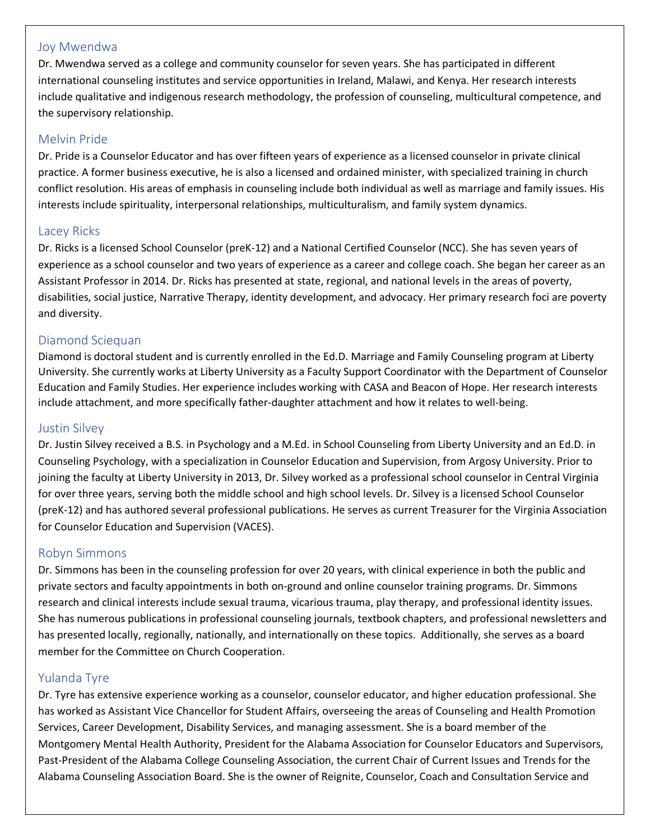#### Joy Mwendwa

Dr. Mwendwa served as a college and community counselor for seven years. She has participated in different international counseling institutes and service opportunities in Ireland, Malawi, and Kenya. Her research interests include qualitative and indigenous research methodology, the profession of counseling, multicultural competence, and the supervisory relationship.

#### Melvin Pride

Dr. Pride is a Counselor Educator and has over fifteen years of experience as a licensed counselor in private clinical practice. A former business executive, he is also a licensed and ordained minister, with specialized training in church conflict resolution. His areas of emphasis in counseling include both individual as well as marriage and family issues. His interests include spirituality, interpersonal relationships, multiculturalism, and family system dynamics.

#### Lacey Ricks

Dr. Ricks is a licensed School Counselor (preK-12) and a National Certified Counselor (NCC). She has seven years of experience as a school counselor and two years of experience as a career and college coach. She began her career as an Assistant Professor in 2014. Dr. Ricks has presented at state, regional, and national levels in the areas of poverty, disabilities, social justice, Narrative Therapy, identity development, and advocacy. Her primary research foci are poverty and diversity.

#### Diamond Sciequan

Diamond is doctoral student and is currently enrolled in the Ed.D. Marriage and Family Counseling program at Liberty University. She currently works at Liberty University as a Faculty Support Coordinator with the Department of Counselor Education and Family Studies. Her experience includes working with CASA and Beacon of Hope. Her research interests include attachment, and more specifically father-daughter attachment and how it relates to well-being.

#### Justin Silvey

Dr. Justin Silvey received a B.S. in Psychology and a M.Ed. in School Counseling from Liberty University and an Ed.D. in Counseling Psychology, with a specialization in Counselor Education and Supervision, from Argosy University. Prior to joining the faculty at Liberty University in 2013, Dr. Silvey worked as a professional school counselor in Central Virginia for over three years, serving both the middle school and high school levels. Dr. Silvey is a licensed School Counselor (preK-12) and has authored several professional publications. He serves as current Treasurer for the Virginia Association for Counselor Education and Supervision (VACES).

#### Robyn Simmons

Dr. Simmons has been in the counseling profession for over 20 years, with clinical experience in both the public and private sectors and faculty appointments in both on-ground and online counselor training programs. Dr. Simmons research and clinical interests include sexual trauma, vicarious trauma, play therapy, and professional identity issues. She has numerous publications in professional counseling journals, textbook chapters, and professional newsletters and has presented locally, regionally, nationally, and internationally on these topics. Additionally, she serves as a board member for the Committee on Church Cooperation.

#### Yulanda Tyre

Dr. Tyre has extensive experience working as a counselor, counselor educator, and higher education professional. She has worked as Assistant Vice Chancellor for Student Affairs, overseeing the areas of Counseling and Health Promotion Services, Career Development, Disability Services, and managing assessment. She is a board member of the Montgomery Mental Health Authority, President for the Alabama Association for Counselor Educators and Supervisors, Past-President of the Alabama College Counseling Association, the current Chair of Current Issues and Trends for the Alabama Counseling Association Board. She is the owner of Reignite, Counselor, Coach and Consultation Service and